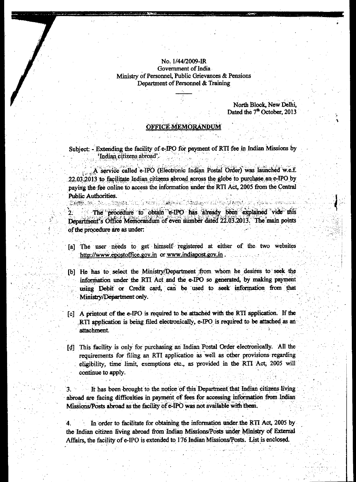## No. 1/44/2009-IR Government of India Ministry of Personnel, Public. Grievances & Pensions Department of Personnel & Training

North Block, New Delhi, Dated the  $7<sup>th</sup>$  October, 2013

## OFFICE-MEMORANDUM

Subject: - Extending the facility of e-IPO for payment of RTI fee in Indian Missions by 'Indian citizens abroad'.

A service called e-IPO (Electronic Indian Postal Order) was launched w.e.f. 22.03.2013 to facilitate Indian citizens abroad across the globe to purchase an e-IPO by paying the fee online to access the information under the RTI Act, 2005 from the Central Public Authorities. From C. April 14 part of the South

The procedure to obtain e-IPO has already been explained vide this Department's Office Memorandum of even number dated 22.03.2013. The main points of the procedure are as under:

ik linera

- [a] The user needs to get himself registered at either of the two websites http://www.epostoffice.gov.in or www.indiapost.gov.in,
- [b] He has to select the Ministry/Department from whom he desires to seek the information under the RTI Act and the e-IPO so generated, by making payment using Debit or Credit card, can be used to seek information from that Ministry/Department only.
- [a] A printout of the e-IPO is required to be attached with the RTI application. If the RTI application is being filed electronically, e-IPO is required to be attached as an attachment.
- [d] This facility is only for purchasing an Indian Postal Order electronically. All the requirements for filing an RTI application as well as other provisions regarding eligibility, time limit, exemptions etc., as provided in the RTI Act, 2005 will continue to apply.

It has been brought to the notice of this Department that Indian citizens living abroad are facing difficulties in payment of fees for accessing information from Indian Missions/Posts abroad as the facility of e-IPO was not available with them,

4. In order to facilitate for obtaining the information under the RTI Act, 2005 by the Indian citizen living abroad from Indian Missions/Posts under Ministry of External Affairs, the facility of e-IPO is extended to 176 Indian Missions/Posts. List is enclosed.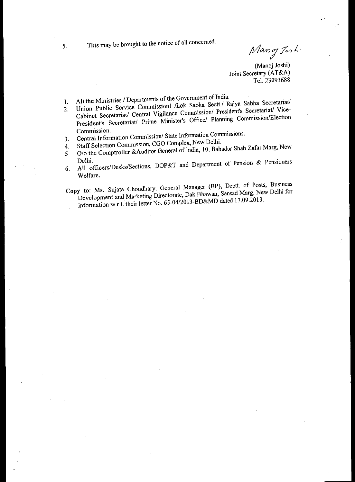5. This may be brought to the notice of all concerned.

*Manog Josh* 

(Manoj Joshi) Joint Secretary (AT&A) Tel: 23093688

- 1. All the Ministries / Departments of the Government of India.
- 2. Union Public Service Commission! /Lok Sabha Sectt./ Rajya Sabha Secretariat/ Cabinet Secretariat/ Central Vigilance Commission/ President's Secretariat/ Vice-President's Secretariat/ Prime Minister's Office/ Planning Commission/Election Commission.
- 3. Central Information Commission/ State Information Commissions.
- 
- 4. Staff Selection Commission, CGO Complex, New Delin.<br>5. O/o the Comptroller &Auditor General of India, 10, Bahadur Shah Zafar Marg, New
- Delhi. 6. All officers/Desks/Sections, DOP&T and Department of Pension & Pensioners Welfare.
- Copy to: Ms. Sujata Choudhary, General Manager (BP), Deptt. of Posts, Business Development and Marketing Directorate, Dak Bhawan, Sansad Marg, New Delhi for information w.r.t. their letter No. 65-04/2013-BD&MD dated 17.09.2013.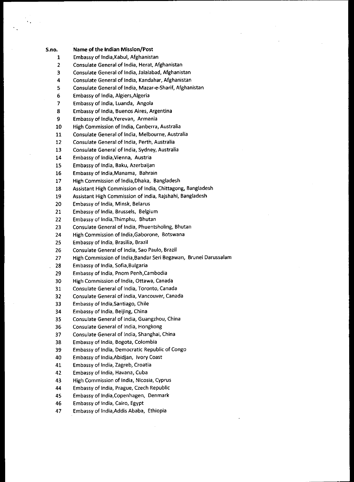## **S.no. Name of the Indian Mission/Post**

- **1** Embassy of India,Kabul, Afghanistan
- 2 Consulate General of India, Herat, Afghanistan
- 3 Consulate General of India, Jalalabad, Afghanistan
- 4 Consulate General of India, Kandahar, Afghanistan
- 5 Consulate General of India, Mazar-e-Sharif, Afghanistan
- 6 Embassy of India, Algiers,Algeria
- 7 Embassy of India, Luanda, Angola
- 8 Embassy of India, Buenos Aires, Argentina
- 9 Embassy of India,Yerevan, Armenia
- 10 High Commission of India, Canberra, Australia
- 11 Consulate General of India, Melbourne, Australia
- 12 Consulate General of India, Perth, Australia
- 13 Consulate General of India, Sydney, Australia
- 14 Embassy of India,Vienna, Austria
- 15 Embassy of India, Baku, Azerbaijan
- 16 Embassy of India,Manama, Bahrain
- 17 High Commission of India,Dhaka, Bangladesh
- 18 Assistant High Commission of India, Chittagong, Bangladesh
- 19 Assistant High Commission of india, Rajshahi, Bangladesh
- 20 Embassy of India, Minsk, Belarus
- 21 Embassy of India, Brussels, Belgium
- 22 Embassy of India,Thimphu, Bhutan
- 23 Consulate General of India, Phuentsholing, Bhutan
- 24 High Commission of India,Gaborone, Botswana
- 25 Embassy of India, Brasilia, Brazil
- 26 Consulate General of India, Sao Paulo, Brazil
- 27 High Commission of India,Bandar Seri Begawan, Brunei Darussalam
- 28 Embassy of India, Sofia,Bulgaria
- 29 Embassy of India, Pnom Penh,Cambodia
- 30 High Commission of India, Ottawa, Canada
- 31 Consulate General of India, Toronto, Canada
- 32 Consulate General of india, Vancouver, Canada
- 33 Embassy of India,Santiago, Chile
- 34 Embassy of India, Beijing, China
- 35 Consulate General of India, Guangzhou, China
- 36 Consulate General of India, Hongkong
- 37 Consulate General of India, Shanghai, China
- 38 Embassy of India, Bogota, Colombia
- 39 Embassy of India, Democratic Republic of Congo
- 40 Embassy of India,Abidjan, Ivory Coast
- 41 Embassy of India, Zagreb, Croatia
- 42 Embassy of India, Havana, Cuba
- 43 High Commission of India, Nicosia, Cyprus
- 44 Embassy of India, Prague, Czech Republic
- 45 Embassy of India,Copenhagen, Denmark
- 46 Embassy of India, Cairo, Egypt
- 47 Embassy of India,Addis Ababa, Ethiopia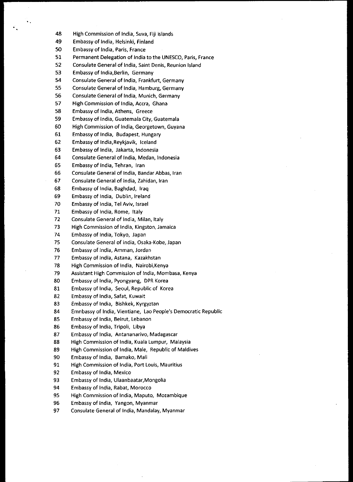- 48 High Commission of India, Suva, Fiji islands
- 49 Embassy of India, Helsinki, Finland
- 50 Embassy of India, Paris, France
- 51 Permanent Delegation of India to the UNESCO, Paris, France
- 52 Consulate General of India, Saint Denis, Reunion Island
- 53 Embassy of India,Berlin, Germany
- 54 Consulate General of India, Frankfurt, Germany
- 55 Consulate General of India, Hamburg, Germany
- 56 Consulate General of India, Munich, Germany
- 57 High Commission of India, Accra, Ghana
- 58 Embassy of India, Athens, Greece
- 59 Embassy of India, Guatemala City, Guatemala
- 60 High Commission of India, Georgetown, Guyana
- 61 Embassy of India, Budapest, Hungary
- 62 Embassy of India,Reykjavik, Iceland
- 63 Embassy of India, Jakarta, Indonesia
- 64 Consulate General of India, Medan, Indonesia
- 65 Embassy of India, Tehran, Iran
- 66 Consulate General of India, Bandar Abbas, Iran
- 67 Consulate General of India, Zahidan, Iran
- 68 Embassy of India, Baghdad, Iraq
- 69 Embassy of India, Dublin, Ireland
- 70 Embassy of India, Tel Aviv, Israel
- 71 Embassy of India, Rome, Italy
- 72 Consulate General of India, Milan, Italy
- 73 High Commission of India, Kingston, Jamaica
- 74 Embassy of India, Tokyo, Japan
- 75 Consulate General of India, Osaka-Kobe, Japan
- 76 Embassy of India, Amman, Jordan
- 77 Embassy of India, Astana, Kazakhstan
- 78 High Commission of India, Nairobi,Kenya
- 79 Assistant High Commission of India, Mombasa, Kenya
- 80 Embassy of India, Pyongyang, DPR Korea
- 81 Embassy of India, Seoul, Republic of Korea
- 82 Embassy of India, Safat, Kuwait
- 83 Embassy of India, Bishkek, Kyrgyztan
- 84 Emnbassy of India, Vientiane, Lao People's Democratic Republic
- 85 Embassy of India, Beirut, Lebanon
- 86 Embassy of India, Tripoli, Libya
- 87 Embassy of India, Antananarivo, Madagascar
- 88 High Commission of India, Kuala Lumpur, Malaysia
- 89 High Commission of India, Male, Republic of Maldives
- 90 Embassy of India, Bamako, Mali
- 91 High Commission of India, Port Louis, Mauritius
- 92 Embassy of India, Mexico
- 93 Embassy of India, Ulaanbaatar,Mongolia
- 94 Embassy of India, Rabat, Morocco
- 95 High Commission of India, Maputo, Mozambique
- 96 Embassy of India, Yangon, Myanmar
- 97 Consulate General of India, Mandalay, Myanmar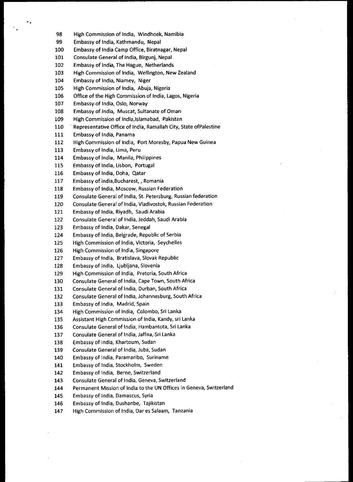- 98 High Commission of India, Windhoek, Namibia
- 99 Embassy of India, Kathmandu, Nepal
- 100 Embassy of India Camp Office, Biratnagar, Nepal
- 101 Consulate General of India, Birgunj, Nepal
- 102 Embassy of India, The Hague, Netherlands
- 103 High Commission of India, Wellington, New Zealand
- 104 Embassy of India, Niamey, Niger
- 105 High Commission of India, Abuja, Nigeria
- 106 Office of the High Commission of India, Lagos, Nigeria
- 107 Embassy of India, Oslo, Norway
- 108 Embassy of India, Muscat, Sultanate of Oman
- 109 High Commission of India,Islamabad, Pakistan
- 110 Representative Office of India, Ramallah City, State ofPalestine
- 111 Embassy of India, Panama
- 112 High Commission of India, Port Moresby, Papua New Guinea
- 113 Embassy of India, Lima, Peru
- 114 Embassy of India, Manila, Philippines
- 115 Embassy of India, Lisbon, Portugal
- 116 Embassy of India, Doha, Qatar
- 117 Embassy of india, Bucharest, , Romania
- 118 Embassy of India, Moscow, Russian Federation
- 119 Consulate General of India, St. Petersburg, Russian federation
- 120 Consulate General of India, Vladivostok, Russian Federation
- 121 Embassy of India, Riyadh, Saudi Arabia
- 122 Consulate General of India, Jeddah, Saudi Arabia
- 123 Embassy of India, Dakar, Senegal
- 124 Embassy of India, Belgrade, Republic of Serbia
- 125 High Commission of India, Victoria, Seychelles
- 126 High Commission of India, Singapore
- 127 Embassy of India, Bratislava, Slovak Republic
- 128 Embassy of India, Ljubljana, Slovenia
- 129 High Commission of India, Pretoria, South Africa
- 130 Consulate General of India, Cape Town, South Africa
- 131 Consulate General of India, Durban, South Africa
- 132 Consulate General of India, Johannesburg, South Africa
- 133 Embassy of India, Madrid, Spain
- 134 High Commission of India, Colombo, Sri Lanka
- 135 Assistant High Commission of India, Kandy, sri Lanka
- 136 Consulate General of India, Hambantota, Sri Lanka
- 137 Consulate General of India, Jaffna, Sri Lanka
- 138 Embassy of India, Khartoum, Sudan
- 139 Consulate General of India, Juba, Sudan
- 140 Embassy of India, Paramaribo, Suriname
- 141 Embassy of India, Stockholm, Sweden
- 142 Embassy of India, Berne, Switzerland
- 143 Consulate General of India, Geneva, Switzerland
- 144 Permanent Mission of India to the UN Offices in Geneva, Switzerland
- 145 Embassy of India, Damascus, Syria
- 146 Embassy of India, Dushanbe, Tajikistan
- 147 High Commission of India, Dar es Salaam, Tanzania